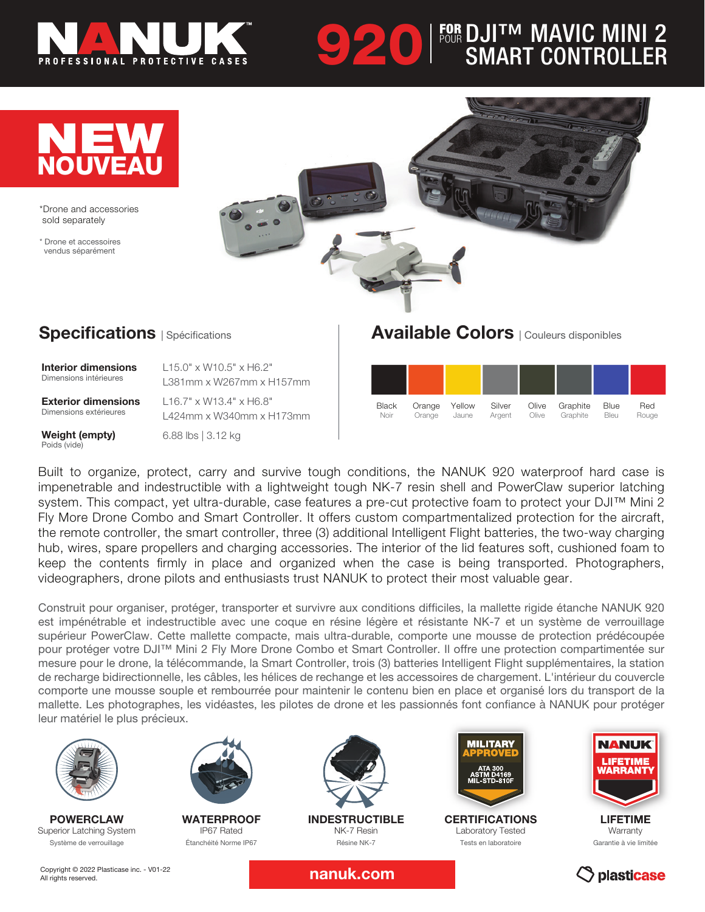

# **920 FOUR DJITM MAVIC MINI 2**<br>SMART CONTROLLER FOR POUR



\*Drone and accessories sold separately

\* Drone et accessoires vendus séparément



### **Specifications** | Spécifications

Interior dimensions Dimensions intérieures

L15.0" x W10.5" x H6.2" L381mm x W267mm x H157mm

Exterior dimensions Dimensions extérieures

Weight (empty) Poids (vide)

L424mm x W340mm x H173mm 6.88 lbs | 3.12 kg

L16.7" x W13.4" x H6.8"

## Available Colors | Couleurs disponibles



Built to organize, protect, carry and survive tough conditions, the NANUK 920 waterproof hard case is impenetrable and indestructible with a lightweight tough NK-7 resin shell and PowerClaw superior latching system. This compact, yet ultra-durable, case features a pre-cut protective foam to protect your DJI™ Mini 2 Fly More Drone Combo and Smart Controller. It offers custom compartmentalized protection for the aircraft, the remote controller, the smart controller, three (3) additional Intelligent Flight batteries, the two-way charging hub, wires, spare propellers and charging accessories. The interior of the lid features soft, cushioned foam to keep the contents firmly in place and organized when the case is being transported. Photographers, videographers, drone pilots and enthusiasts trust NANUK to protect their most valuable gear.

Construit pour organiser, protéger, transporter et survivre aux conditions difficiles, la mallette rigide étanche NANUK 920 est impénétrable et indestructible avec une coque en résine légère et résistante NK-7 et un système de verrouillage supérieur PowerClaw. Cette mallette compacte, mais ultra-durable, comporte une mousse de protection prédécoupée pour protéger votre DJI™ Mini 2 Fly More Drone Combo et Smart Controller. Il offre une protection compartimentée sur mesure pour le drone, la télécommande, la Smart Controller, trois (3) batteries Intelligent Flight supplémentaires, la station de recharge bidirectionnelle, les câbles, les hélices de rechange et les accessoires de chargement. L'intérieur du couvercle comporte une mousse souple et rembourrée pour maintenir le contenu bien en place et organisé lors du transport de la mallette. Les photographes, les vidéastes, les pilotes de drone et les passionnés font confiance à NANUK pour protéger leur matériel le plus précieux.



POWERCLAW Superior Latching System Système de verrouillage



**WATERPROOF** IP67 Rated Étanchéité Norme IP67



INDESTRUCTIBLE NK-7 Resin Résine NK-7



**CERTIFICATIONS** Laboratory Tested Tests en laboratoire



LIFETIME **Warranty** Garantie à vie limitée